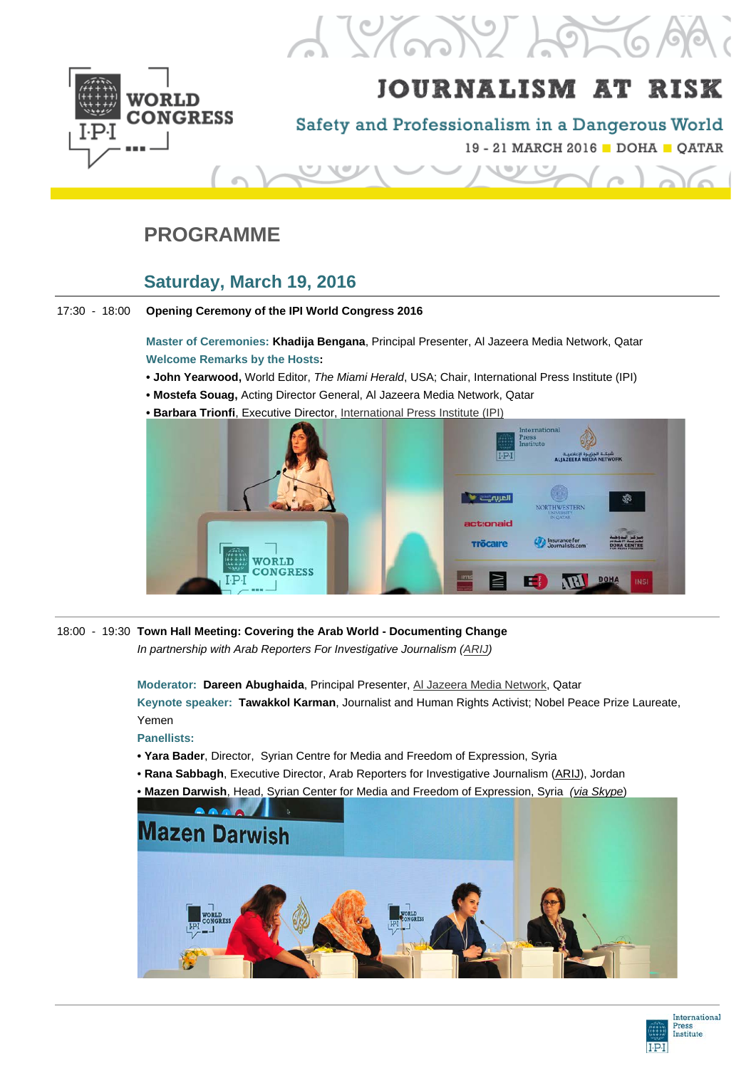

# $12700266$

## **JOURNALISM AT RISK**

Safety and Professionalism in a Dangerous World

19 - 21 MARCH 2016 DOHA OATAR

## **PROGRAMME**

## **Saturday, March 19, 2016**

17:30 - 18:00 **Opening Ceremony of the IPI World Congress 2016**

**Master of Ceremonies: Khadija Bengana**, Principal Presenter, Al Jazeera Media Network, Qatar **Welcome Remarks by the Hosts:**

- **John Yearwood,** World Editor, *The Miami Herald*, USA; Chair, International Press Institute (IPI)
- **Mostefa Souag,** Acting Director General, Al Jazeera Media Network, Qatar
- **Barbara Trionfi**, Executive Director, [International Press](http://freemedia.at/) Institute (IPI)



18:00 - 19:30 **Town Hall Meeting: Covering the Arab World - Documenting Change**

*In partnership with Arab Reporters For Investigative Journalism [\(ARIJ\)](http://en.arij.net/)*

**Moderator: Dareen Abughaida**, Principal Presenter, [Al Jazeera Media Network,](http://www.aljazeera.com/) Qatar **Keynote speaker: Tawakkol Karman**, Journalist and Human Rights Activist; Nobel Peace Prize Laureate, Yemen

**Panellists:**

- **• Yara Bader**, Director, Syrian Centre for Media and Freedom of Expression, Syria
- **Rana Sabbagh**, Executive Director, Arab Reporters for Investigative Journalism [\(ARIJ\)](http://en.arij.net/), Jordan
- **Mazen Darwish**, Head, Syrian Center for Media and Freedom of Expression, Syria *[\(via Skype](http://www.freemedia.at/ipi-demands-explanation-after-turkey-stops-mazen-darwish/)*)



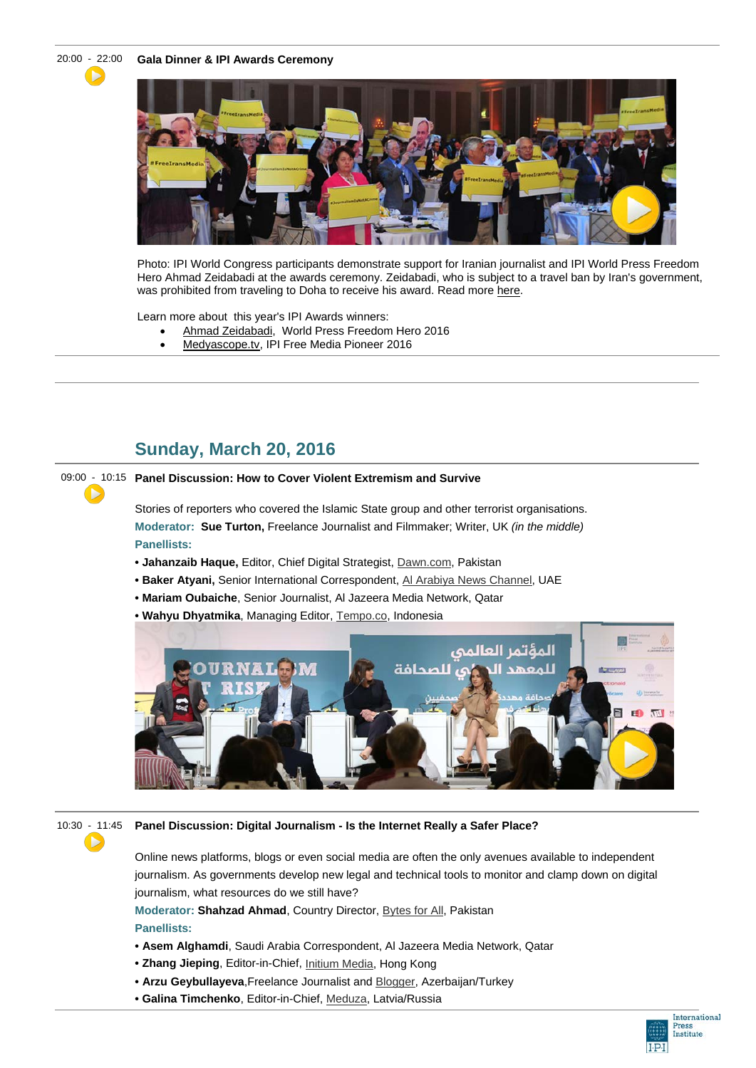Ъ

20:00 - [22](https://www.youtube.com/watch?v=HqFhkmL_UPk):00 **Gala Dinner & IPI Awards Ceremony**



Photo: IPI World Congress participants demonstrate support for Iranian journalist and IPI World Press Freedom Hero Ahmad Zeidabadi at the awards ceremony. Zeidabadi, who is subject to a travel ban by Iran's government, was prohibited from traveling to Doha to receive his award. Read more [here.](http://www.freemedia.at/ipi-world-congress-honours-iranian-turkish-journalists/)

Learn more about this year's IPI Awards winners:

- [Ahmad Zeidabadi,](http://www.freemedia.at/ipi-names-irans-ahmad-zeidabadi-world-press-freedom-hero/) World Press Freedom Hero 2016
- [Medyascope.tv,](http://www.freemedia.at/rusen-cakir-a-journalist-must-survive-but-so-must-his-journalism/) IPI Free Media Pioneer 2016

## **Sunday, March 20, 2016**

#### 09:00 [-](https://www.youtube.com/watch?v=V8GxnOjaSFk) 10:15 **Panel Discussion: How to Cover Violent Extremism and Survive**

Stories of reporters who covered the Islamic State group and other terrorist organisations. **Moderator: Sue Turton,** Freelance Journalist and Filmmaker; Writer, UK *(in the middle)* **Panellists:**

- **Jahanzaib Haque,** Editor, Chief Digital Strategist, [Dawn.com,](http://www.dawn.com/) Pakistan
- **Baker Atyani,** Senior International Correspondent, [Al Arabiya News Channel,](https://english.alarabiya.net/) UAE
- **Mariam Oubaiche**, Senior Journalist, Al Jazeera Media Network, Qatar
- **• Wahyu Dhyatmika**, Managing Editor, [Tempo.co,](http://en.tempo.co/) Indonesia



▶

 $\blacktriangleright$ 

#### 10:30 - 11:45 **Panel Discussion: Digital Journalism - Is the Internet Really a Safer Place?**

Online news platforms, blogs or even social media are often the only avenues available to independent journalism. As governments develop new legal and technical tools to monitor and clamp down on digital journalism, what resources do we still have?

**Moderator: Shahzad Ahmad**, Country Director, [Bytes for All,](https://content.bytesforall.pk/) Pakistan

**Panellists:**

- **• Asem Alghamdi**, Saudi Arabia Correspondent, Al Jazeera Media Network, Qatar
- **Zhang Jieping**, Editor-in-Chief, [Initium Media,](https://theinitium.com/) Hong Kong
- **Arzu Geybullayeva**,Freelance Journalist and [Blogger,](http://flyingcarpetsandbrokenpipelines.blogspot.com/) Azerbaijan/Turkey
- **• Galina Timchenko**, Editor-in-Chief, [Meduza,](https://meduza.io/en) Latvia/Russia

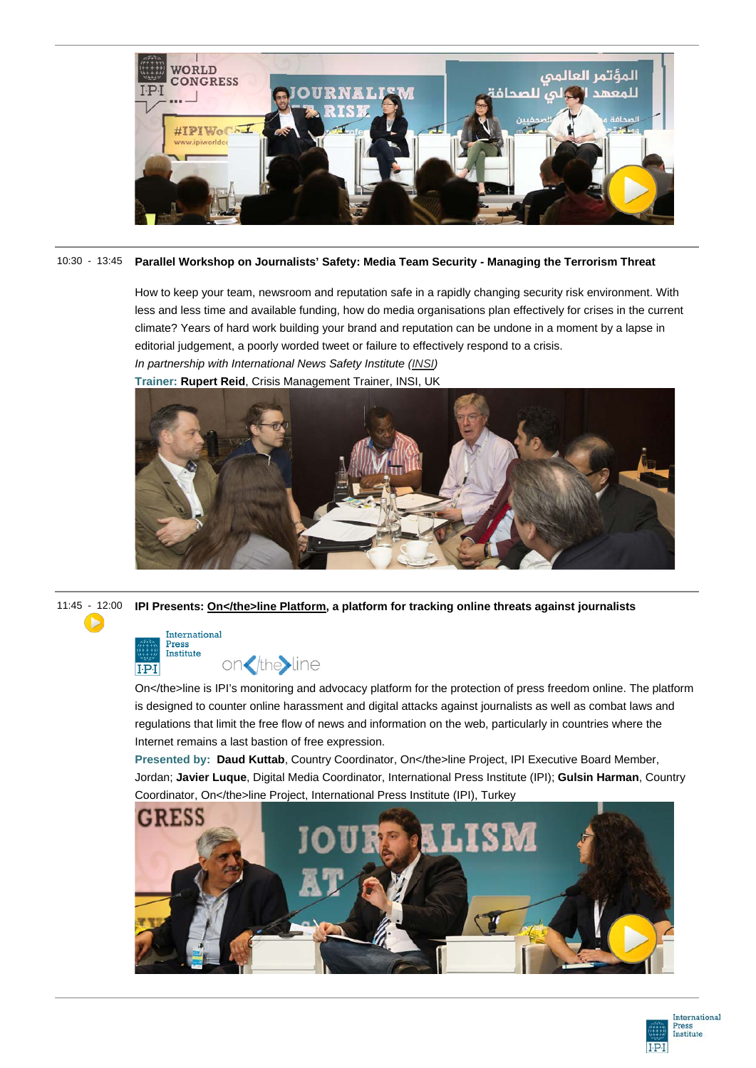

#### 10:30 - 13:45 **Parallel Workshop on Journalists' Safety: Media Team Security - Managing the Terrorism Threat**

How to keep your team, newsroom and reputation safe in a rapidly changing security risk environment. With less and less time and available funding, how do media organisations plan effectively for crises in the current climate? Years of hard work building your brand and reputation can be undone in a moment by a lapse in editorial judgement, a poorly worded tweet or failure to effectively respond to a crisis.

*In partnership with International News Safety Institute [\(INSI\)](http://www.newssafety.org/home/)* **Trainer: Rupert Reid**, Crisis Management Trainer, INSI, UK



11:45 - [12](https://www.youtube.com/watch?v=60KoT3xAYXc):00 **IPI Presents: [On</the>line Platform,](http://ontheline.freemedia.at/) a platform for tracking online threats against journalists**



 $\blacktriangleright$ 

on</the>line

On</the>line is IPI's monitoring and advocacy platform for the protection of press freedom online. The platform is designed to counter online harassment and digital attacks against journalists as well as combat laws and regulations that limit the free flow of news and information on the web, particularly in countries where the Internet remains a last bastion of free expression.

Presented by: Daud Kuttab, Country Coordinator, On</the>line Project, IPI Executive Board Member, Jordan; **Javier Luque**, Digital Media Coordinator, International Press Institute (IPI); **Gulsin Harman**, Country [Coordinator, On</the>line Project, International Press Institute \(IPI\), Turkey](https://www.youtube.com/watch?v=60KoT3xAYXc&feature=youtu.be&t=1h11m38s) 



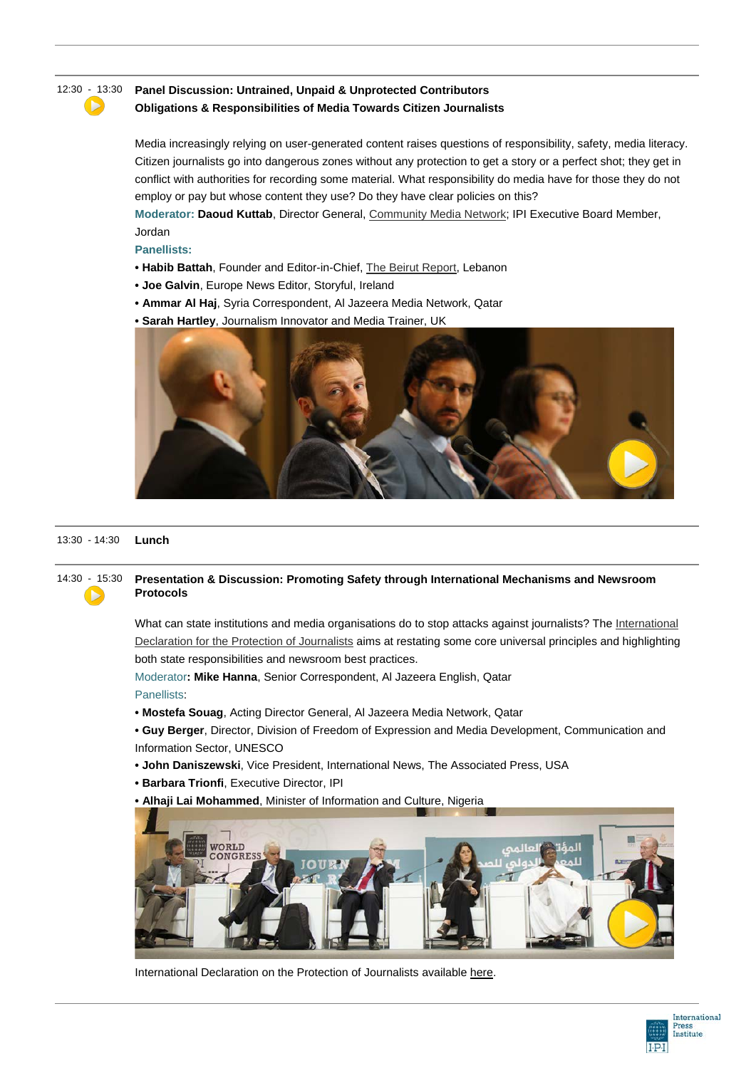## ь

#### 12:30 - [13](https://www.youtube.com/watch?v=Jo6quWQ99Dk):30 **Panel Discussion: Untrained, Unpaid & Unprotected Contributors**

#### **Obligations & Responsibilities of Media Towards Citizen Journalists**

Media increasingly relying on user-generated content raises questions of responsibility, safety, media literacy. Citizen journalists go into dangerous zones without any protection to get a story or a perfect shot; they get in conflict with authorities for recording some material. What responsibility do media have for those they do not employ or pay but whose content they use? Do they have clear policies on this?

**Moderator: Daoud Kuttab**, Director General, [Community Media Network;](http://communitymedianetwork.org/) IPI Executive Board Member, Jordan

#### **Panellists:**

- **• Habib Battah**, Founder and Editor-in-Chief, [The Beirut Report,](http://www.beirutreport.com/) Lebanon
- **• Joe Galvin**, Europe News Editor, Storyful, Ireland
- **• Ammar Al Haj**, Syria Correspondent, Al Jazeera Media Network, Qatar
- **• Sarah Hartley**[, Journalism Innovator and Media Trainer, UK](https://www.youtube.com/watch?v=Jo6quWQ99Dk)



#### 13:30 - 14:30 **Lunch**

#### 14:30 - [15](https://www.youtube.com/watch?v=BnJ5UOGSHCY):30 **Presentation & Discussion: Promoting Safety through International Mechanisms and Newsroom Protocols**  $\blacktriangleright$

What can state institutions and media organisations do to stop attacks against journalists? The International [Declaration for the Protection of Journalists](http://www.freemedia.at/international-declaration-on-the-protection-of-journalists/) aims at restating some core universal principles and highlighting both state responsibilities and newsroom best practices.

Moderator**: Mike Hanna**, Senior Correspondent, Al Jazeera English, Qatar Panellists:

- **• Mostefa Souag**, Acting Director General, Al Jazeera Media Network, Qatar
- **• Guy Berger**, Director, Division of Freedom of Expression and Media Development, Communication and Information Sector, UNESCO
- **• John Daniszewski**, Vice President, International News, The Associated Press, USA
- **• Barbara Trionfi**, Executive Director, IPI
- **• [Alhaji Lai Mohammed](https://www.youtube.com/watch?v=BnJ5UOGSHCY)**, Minister of Information and Culture, Nigeria



International Declaration on the Protection of Journalists available [here.](http://www.freemedia.at/international-declaration-on-the-protection-of-journalists/)

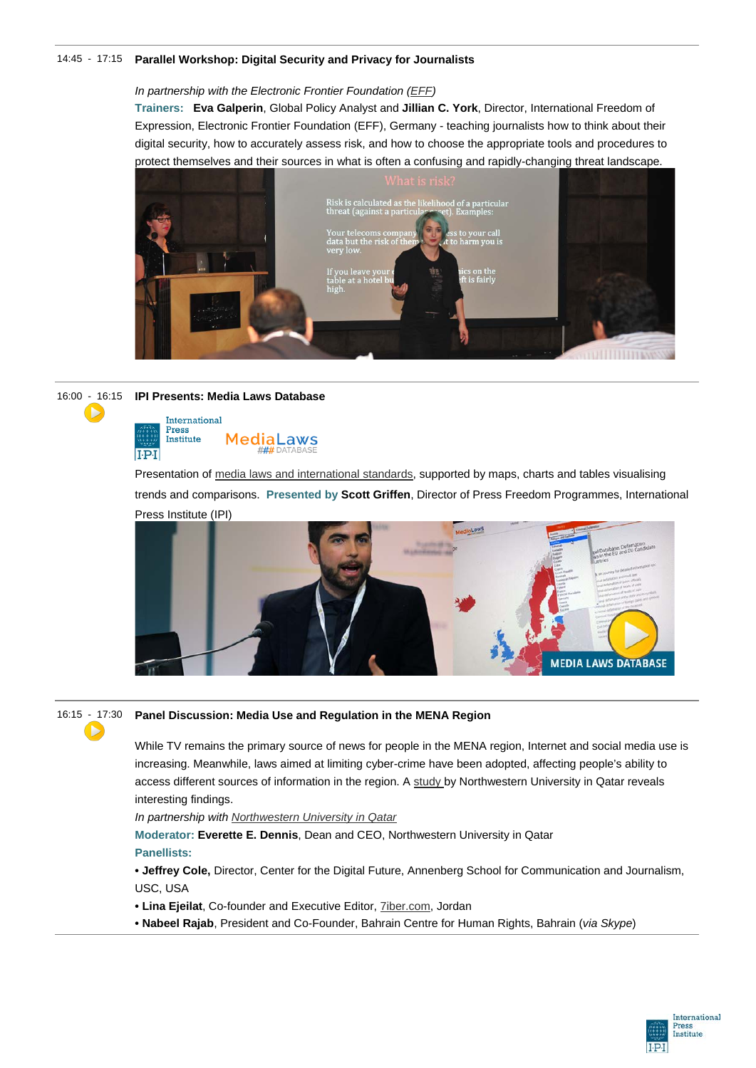#### 14:45 - 17:15 **Parallel Workshop: Digital Security and Privacy for Journalists**

#### *In partnership with the Electronic Frontier Foundation [\(EFF\)](https://www.eff.org/)*

**Trainers: Eva Galperin**, Global Policy Analyst and **Jillian C. York**, Director, International Freedom of Expression, Electronic Frontier Foundation (EFF), Germany - teaching journalists how to think about their digital security, how to accurately assess risk, and how to choose the appropriate tools and procedures to protect themselves and their sources in what is often a confusing and rapidly-changing threat landscape.





Presentation of [media laws and international standards,](http://legaldb.freemedia.at/) supported by maps, charts and tables visualising trends and comparisons. **Presented by Scott Griffen**, Director of Press Freedom Programmes, International [Press Institute \(IPI\)](https://youtu.be/ZSQSgJ-lydo)





#### 16:15 - [17](https://www.youtube.com/watch?v=ZSQSgJ-lydo&feature=youtu.be&t=11m32s):30 **Panel Discussion: Media Use and Regulation in the MENA Region**

While TV remains the primary source of news for people in the MENA region, Internet and social media use is increasing. Meanwhile, laws aimed at limiting cyber-crime have been adopted, affecting people's ability to access different sources of information in the region. A [study](http://www.mideastmedia.org/2015/) by Northwestern University in Qatar reveals interesting findings.

*In partnership with [Northwestern University in Qatar](http://www.northwestern.edu/)*

**Moderator: Everette E. Dennis**, Dean and CEO, Northwestern University in Qatar **Panellists:**

**• Jeffrey Cole,** Director, Center for the Digital Future, Annenberg School for Communication and Journalism, USC, USA

**• Lina Ejeilat**, Co-founder and Executive Editor, [7iber.com,](http://7iber.com/) Jordan

**• Nabeel Rajab**, President and Co-Founder, Bahrain Centre for Human Rights, Bahrain (*via Skype*)

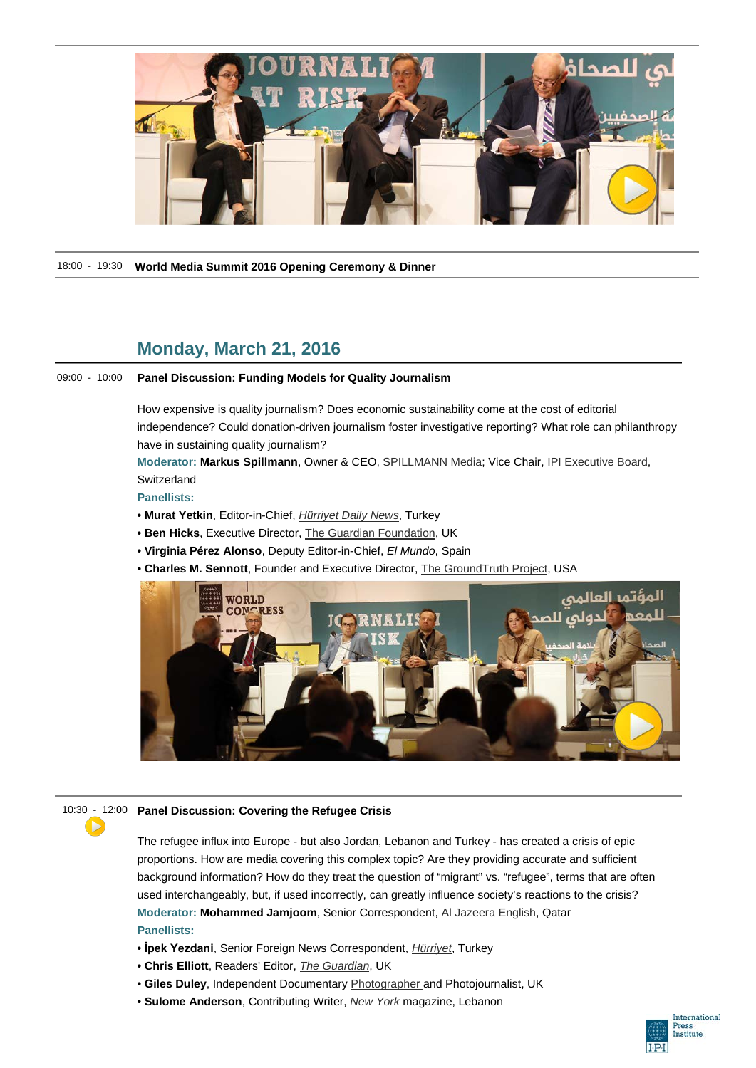

18:00 - 19:30 **World Media Summit 2016 Opening Ceremony & Dinner**

## **Monday, March 21, 2016**

#### 09:00 - 10:00 **Panel Discussion: Funding Models for Quality Journalism**

How expensive is quality journalism? Does economic sustainability come at the cost of editorial independence? Could donation-driven journalism foster investigative reporting? What role can philanthropy have in sustaining quality journalism?

**Moderator: Markus Spillmann**, Owner & CEO, [SPILLMANN Media;](http://markusspillmann.ch/) Vice Chair, [IPI Executive Board,](http://www.freemedia.at/about-us/executive-board.html)  **Switzerland** 

**Panellists:**

- **• Murat Yetkin**, Editor-in-Chief, *[Hürriyet Daily News](http://www.hurriyetdailynews.com/)*, Turkey
- **• Ben Hicks**, Executive Director, [The Guardian Foundation,](http://www.theguardian.com/the-scott-trust) UK
- **• Virginia Pérez Alonso**, Deputy Editor-in-Chief, *El Mundo*, Spain
- **Charles M. Sennott**, Founder and Executive Director, [The GroundTruth Project,](http://thegroundtruthproject.org/) USA



#### 10:30 - 12:00 **Panel Discussion: Covering the Refugee Crisis**

The refugee influx into Europe - but also Jordan, Lebanon and Turkey - has created a crisis of epic proportions. How are media covering this complex topic? Are they providing accurate and sufficient background information? How do they treat the question of "migrant" vs. "refugee", terms that are often used interchangeably, but, if used incorrectly, can greatly influence society's reactions to the crisis? **Moderator: Mohammed Jamjoom**, Senior Correspondent, [Al Jazeera English,](http://www.aljazeera.com/) Qatar **Panellists:**

- **• İpek Yezdani**, Senior Foreign News Correspondent, *[Hürriyet](http://www.hurriyet.com.tr/)*, Turkey
- **• Chris Elliott**, Readers' Editor, *[The Guardian](http://www.theguardian.com/international)*, UK
- **• Giles Duley**, Independent Documentary [Photographer](http://gilesduley.com/) and Photojournalist, UK
- **• Sulome Anderson**, Contributing Writer, *[New York](http://nymag.com/)* magazine, Lebanon

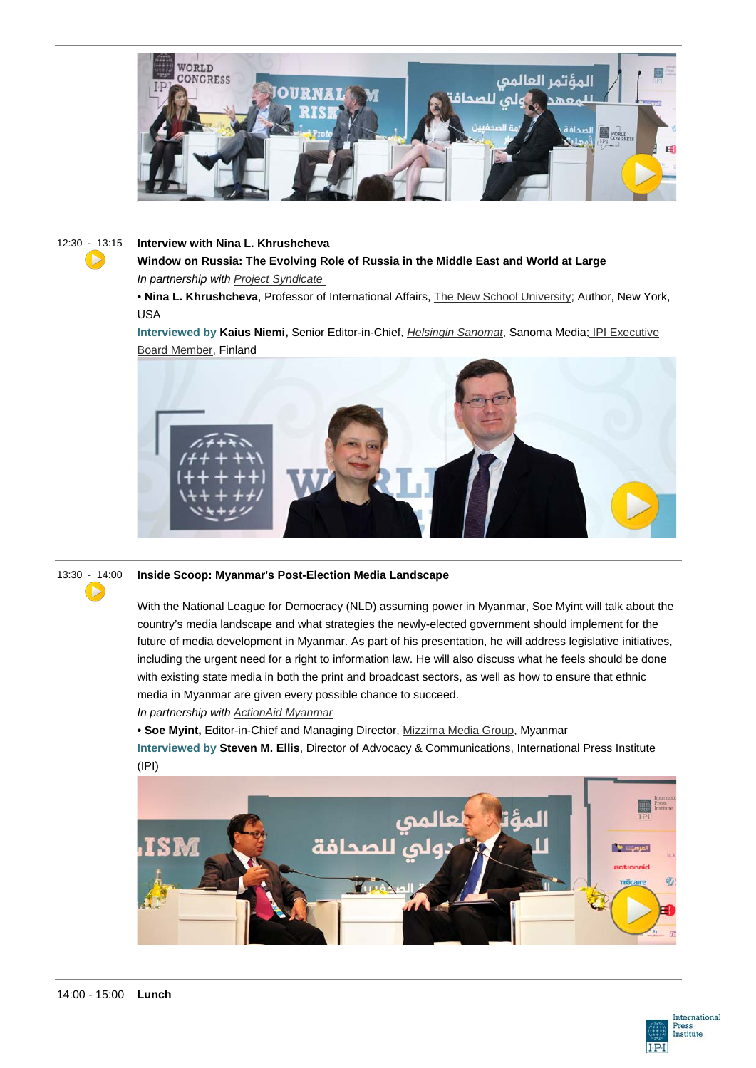

 $\blacktriangleright$ 

#### 12:30 - [13](https://www.youtube.com/watch?v=RvxtELaILls):15 **Interview with Nina L. Khrushcheva**

**Window on Russia: The Evolving Role of Russia in the Middle East and World at Large** *In partnership with [Project Syndicate](http://www.project-syndicate.org/)*

**• Nina L. Khrushcheva**, Professor of International Affairs, [The New School University;](http://www.newschool.edu/facultyexperts/faculty.aspx?id=23866) Author, New York, USA

**Interviewed by Kaius Niemi,** Senior Editor-in-Chief, *[Helsingin Sanomat](http://www.hs.fi/)*, Sanoma Media; [IPI Executive](http://www.freemedia.at/about-us/executive-board.html)  [Board Member,](http://www.freemedia.at/about-us/executive-board.html) Finland





#### 13:30 - 14:00 **Inside Scoop: Myanmar's Post-Election Media Landscape**

With the National League for Democracy (NLD) assuming power in Myanmar, Soe Myint will talk about the country's media landscape and what strategies the newly-elected government should implement for the future of media development in Myanmar. As part of his presentation, he will address legislative initiatives, including the urgent need for a right to information law. He will also discuss what he feels should be done with existing state media in both the print and broadcast sectors, as well as how to ensure that ethnic media in Myanmar are given every possible chance to succeed.

#### *In partnership with [ActionAid Myanmar](http://www.actionaid.org/where-we-work/asia-australia/myanmar)*

**• Soe Myint,** Editor-in-Chief and Managing Director, [Mizzima Media Group,](http://mizzima.com/) Myanmar **Interviewed by Steven M. Ellis**, Director of Advocacy & Communications, International Press Institute (IPI)



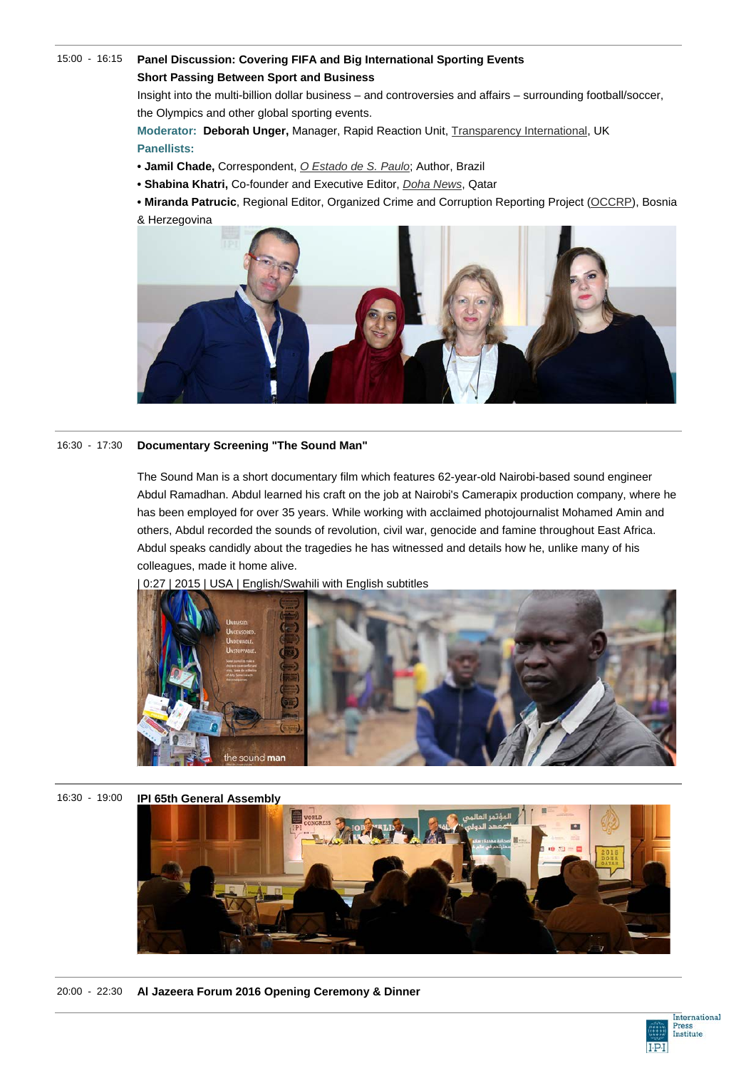#### 15:00 - 16:15 **Panel Discussion: Covering FIFA and Big International Sporting Events Short Passing Between Sport and Business**

Insight into the multi-billion dollar business – and controversies and affairs – surrounding football/soccer, the Olympics and other global sporting events.

**Moderator: Deborah Unger,** Manager, Rapid Reaction Unit, [Transparency International,](https://www.transparency.org/) UK **Panellists:**

- **Jamil Chade,** Correspondent, *[O Estado de S. Paulo](http://www.estadao.com.br/)*; Author, Brazil
- **• Shabina Khatri,** Co-founder and Executive Editor, *[Doha News](http://dohanews.co/)*, Qatar

**• Miranda Patrucic**, Regional Editor, Organized Crime and Corruption Reporting Project [\(OCCRP\)](https://www.occrp.org/), Bosnia & Herzegovina



#### 16:30 - 17:30 **Documentary Screening "The Sound Man"**

The Sound Man is a short documentary film which features 62-year-old Nairobi-based sound engineer Abdul Ramadhan. Abdul learned his craft on the job at Nairobi's Camerapix production company, where he has been employed for over 35 years. While working with acclaimed photojournalist Mohamed Amin and others, Abdul recorded the sounds of revolution, civil war, genocide and famine throughout East Africa. Abdul speaks candidly about the tragedies he has witnessed and details how he, unlike many of his colleagues, made it home alive.



0:27 | 2015 | USA | English/Swahili with English subtitles

16:30 - 19:00 **IPI 65th General Assembly**



20:00 - 22:30 **Al Jazeera Forum 2016 Opening Ceremony & Dinner**